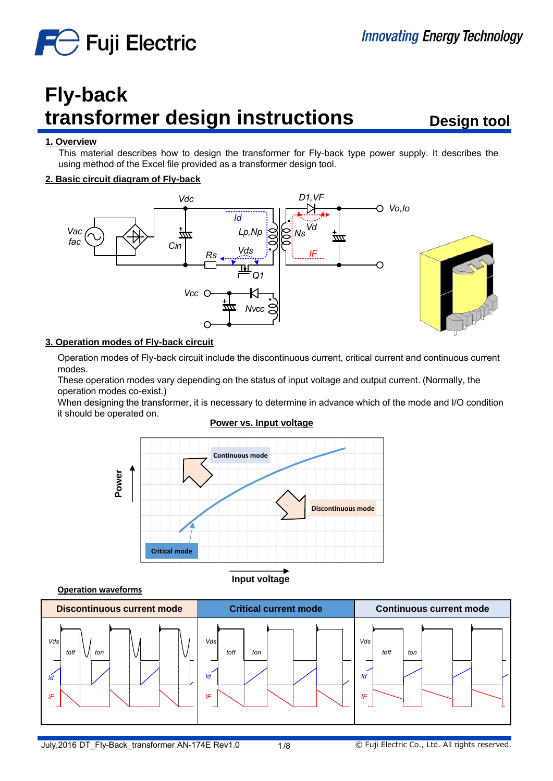

# **Fly-back transformer design instructions**

**Design tool**

#### **1. Overview**

This material describes how to design the transformer for Fly-back type power supply. It describes the using method of the Excel file provided as a transformer design tool.

#### **2. Basic circuit diagram of Fly-back**



#### **3. Operation modes of Fly-back circuit**

Operation modes of Fly-back circuit include the discontinuous current, critical current and continuous current modes.

These operation modes vary depending on the status of input voltage and output current. (Normally, the operation modes co-exist.)

When designing the transformer, it is necessary to determine in advance which of the mode and I/O condition it should be operated on.

#### **Power vs. Input voltage**



**Operation waveforms**



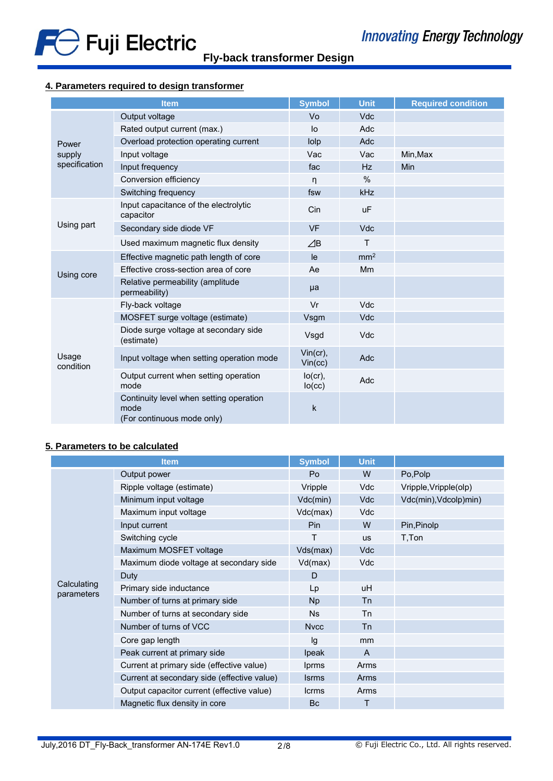

# **4. Parameters required to design transformer**

| <b>Item</b>                      |                                                                               | <b>Symbol</b>        | <b>Unit</b>     | <b>Required condition</b> |
|----------------------------------|-------------------------------------------------------------------------------|----------------------|-----------------|---------------------------|
| Power<br>supply<br>specification | Output voltage                                                                | Vo                   | <b>Vdc</b>      |                           |
|                                  | Rated output current (max.)                                                   | lo                   | Adc             |                           |
|                                  | Overload protection operating current                                         | lolp                 | Adc             |                           |
|                                  | Input voltage                                                                 | Vac                  | Vac             | Min, Max                  |
|                                  | Input frequency                                                               | fac                  | Hz              | <b>Min</b>                |
|                                  | Conversion efficiency                                                         | n                    | $\frac{0}{0}$   |                           |
|                                  | Switching frequency                                                           | fsw                  | <b>kHz</b>      |                           |
| Using part                       | Input capacitance of the electrolytic<br>capacitor                            | Cin                  | <b>uF</b>       |                           |
|                                  | Secondary side diode VF                                                       | <b>VF</b>            | <b>Vdc</b>      |                           |
|                                  | Used maximum magnetic flux density                                            | $\angle$ B           | T               |                           |
|                                  | Effective magnetic path length of core                                        | le                   | mm <sup>2</sup> |                           |
| Using core                       | Effective cross-section area of core                                          | Ae                   | Mm              |                           |
|                                  | Relative permeability (amplitude<br>permeability)                             | μa                   |                 |                           |
| Usage<br>condition               | Fly-back voltage                                                              | Vr                   | Vdc             |                           |
|                                  | MOSFET surge voltage (estimate)                                               | Vsgm                 | Vdc             |                           |
|                                  | Diode surge voltage at secondary side<br>(estimate)                           | Vsgd                 | Vdc             |                           |
|                                  | Input voltage when setting operation mode                                     | Vin (cr),<br>Vin(cc) | Adc             |                           |
|                                  | Output current when setting operation<br>mode                                 | $lo(cr)$ ,<br>lo(cc) | Adc             |                           |
|                                  | Continuity level when setting operation<br>mode<br>(For continuous mode only) | k                    |                 |                           |

# **5. Parameters to be calculated**

| <b>Item</b>               |                                             | <b>Symbol</b> | <b>Unit</b>  |                       |
|---------------------------|---------------------------------------------|---------------|--------------|-----------------------|
| Calculating<br>parameters | Output power                                | Po            | W            | Po,Polp               |
|                           | Ripple voltage (estimate)                   | Vripple       | Vdc          | Vripple, Vripple(olp) |
|                           | Minimum input voltage                       | Vdc(min)      | <b>Vdc</b>   | Vdc(min), Vdcolp)min) |
|                           | Maximum input voltage                       | Vdc(max)      | Vdc          |                       |
|                           | Input current                               | Pin           | W            | Pin, Pinolp           |
|                           | Switching cycle                             | Τ             | <b>us</b>    | T, Ton                |
|                           | Maximum MOSFET voltage                      | Vds(max)      | <b>Vdc</b>   |                       |
|                           | Maximum diode voltage at secondary side     | Vd(max)       | <b>Vdc</b>   |                       |
|                           | Duty                                        | D             |              |                       |
|                           | Primary side inductance                     | Lp            | uH           |                       |
|                           | Number of turns at primary side             | <b>Np</b>     | <b>Tn</b>    |                       |
|                           | Number of turns at secondary side           | <b>Ns</b>     | Tn           |                       |
|                           | Number of turns of VCC                      | <b>Nvcc</b>   | <b>Tn</b>    |                       |
|                           | Core gap length                             | Ig            | mm           |                       |
|                           | Peak current at primary side                | Ipeak         | $\mathsf{A}$ |                       |
|                           | Current at primary side (effective value)   | <b>lprms</b>  | Arms         |                       |
|                           | Current at secondary side (effective value) | <b>Isrms</b>  | Arms         |                       |
|                           | Output capacitor current (effective value)  | <b>Icrms</b>  | Arms         |                       |
|                           | Magnetic flux density in core               | Bc            | т            |                       |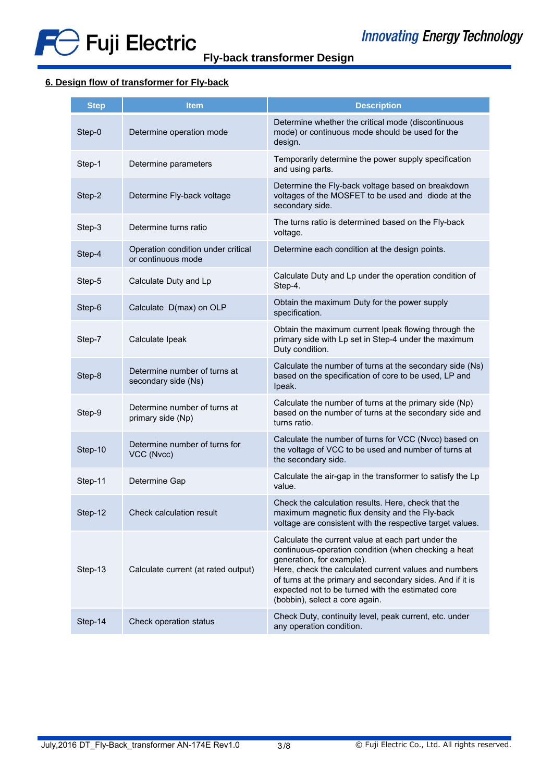



# **6. Design flow of transformer for Fly-back**

| <b>Step</b> | <b>Item</b>                                              | <b>Description</b>                                                                                                                                                                                                                                                                                                                                   |
|-------------|----------------------------------------------------------|------------------------------------------------------------------------------------------------------------------------------------------------------------------------------------------------------------------------------------------------------------------------------------------------------------------------------------------------------|
| Step-0      | Determine operation mode                                 | Determine whether the critical mode (discontinuous<br>mode) or continuous mode should be used for the<br>design.                                                                                                                                                                                                                                     |
| Step-1      | Determine parameters                                     | Temporarily determine the power supply specification<br>and using parts.                                                                                                                                                                                                                                                                             |
| Step-2      | Determine Fly-back voltage                               | Determine the Fly-back voltage based on breakdown<br>voltages of the MOSFET to be used and diode at the<br>secondary side.                                                                                                                                                                                                                           |
| Step-3      | Determine turns ratio                                    | The turns ratio is determined based on the Fly-back<br>voltage.                                                                                                                                                                                                                                                                                      |
| Step-4      | Operation condition under critical<br>or continuous mode | Determine each condition at the design points.                                                                                                                                                                                                                                                                                                       |
| Step-5      | Calculate Duty and Lp                                    | Calculate Duty and Lp under the operation condition of<br>Step-4.                                                                                                                                                                                                                                                                                    |
| Step-6      | Calculate D(max) on OLP                                  | Obtain the maximum Duty for the power supply<br>specification.                                                                                                                                                                                                                                                                                       |
| Step-7      | Calculate Ipeak                                          | Obtain the maximum current Ipeak flowing through the<br>primary side with Lp set in Step-4 under the maximum<br>Duty condition.                                                                                                                                                                                                                      |
| Step-8      | Determine number of turns at<br>secondary side (Ns)      | Calculate the number of turns at the secondary side (Ns)<br>based on the specification of core to be used, LP and<br>Ipeak.                                                                                                                                                                                                                          |
| Step-9      | Determine number of turns at<br>primary side (Np)        | Calculate the number of turns at the primary side (Np)<br>based on the number of turns at the secondary side and<br>turns ratio.                                                                                                                                                                                                                     |
| Step-10     | Determine number of turns for<br>VCC (Nvcc)              | Calculate the number of turns for VCC (Nvcc) based on<br>the voltage of VCC to be used and number of turns at<br>the secondary side.                                                                                                                                                                                                                 |
| Step-11     | Determine Gap                                            | Calculate the air-gap in the transformer to satisfy the Lp<br>value.                                                                                                                                                                                                                                                                                 |
| Step-12     | Check calculation result                                 | Check the calculation results. Here, check that the<br>maximum magnetic flux density and the Fly-back<br>voltage are consistent with the respective target values.                                                                                                                                                                                   |
| Step-13     | Calculate current (at rated output)                      | Calculate the current value at each part under the<br>continuous-operation condition (when checking a heat<br>generation, for example).<br>Here, check the calculated current values and numbers<br>of turns at the primary and secondary sides. And if it is<br>expected not to be turned with the estimated core<br>(bobbin), select a core again. |
| Step-14     | Check operation status                                   | Check Duty, continuity level, peak current, etc. under<br>any operation condition.                                                                                                                                                                                                                                                                   |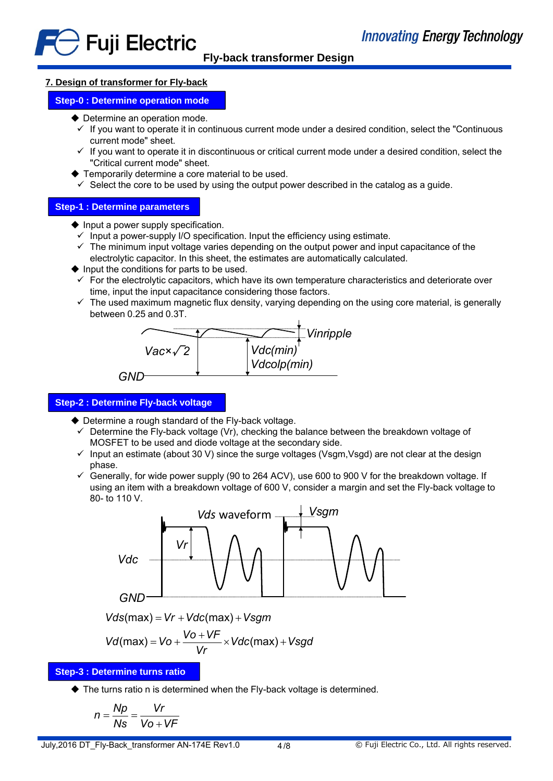# **7. Design of transformer for Fly-back**

# **Step-0 : Determine operation mode**

- ◆ Determine an operation mode.
	- $\checkmark$  If you want to operate it in continuous current mode under a desired condition, select the "Continuous" current mode" sheet.
	- $\checkmark$  If you want to operate it in discontinuous or critical current mode under a desired condition, select the "Critical current mode" sheet.
- Temporarily determine a core material to be used.
- $\checkmark$  Select the core to be used by using the output power described in the catalog as a guide.

# **Step-1 : Determine parameters**

- $\blacklozenge$  Input a power supply specification.
	- $\checkmark$  Input a power-supply I/O specification. Input the efficiency using estimate.
- $\checkmark$  The minimum input voltage varies depending on the output power and input capacitance of the electrolytic capacitor. In this sheet, the estimates are automatically calculated.
- $\blacklozenge$  Input the conditions for parts to be used.
- $\checkmark$  For the electrolytic capacitors, which have its own temperature characteristics and deteriorate over time, input the input capacitance considering those factors.
- $\checkmark$  The used maximum magnetic flux density, varying depending on the using core material, is generally between 0.25 and 0.3T.



# **Step-2 : Determine Fly-back voltage**

- ◆ Determine a rough standard of the Fly-back voltage.
	- $\checkmark$  Determine the Fly-back voltage (Vr), checking the balance between the breakdown voltage of MOSFET to be used and diode voltage at the secondary side.
	- $\checkmark$  Input an estimate (about 30 V) since the surge voltages (Vsgm, Vsgd) are not clear at the design phase.
	- $\checkmark$  Generally, for wide power supply (90 to 264 ACV), use 600 to 900 V for the breakdown voltage. If using an item with a breakdown voltage of 600 V, consider a margin and set the Fly-back voltage to 80- to 110 V.



 $Vds(max) = Vr + Vdc(max) + Vsgm$ 

$$
Vd(max) = Vo + \frac{Vo + VF}{Vr} \times Vdc(max) + Vsgd
$$

# **Step-3 : Determine turns ratio**

◆ The turns ratio n is determined when the Fly-back voltage is determined.

$$
n = \frac{Np}{Ns} = \frac{Vr}{Vo + VF}
$$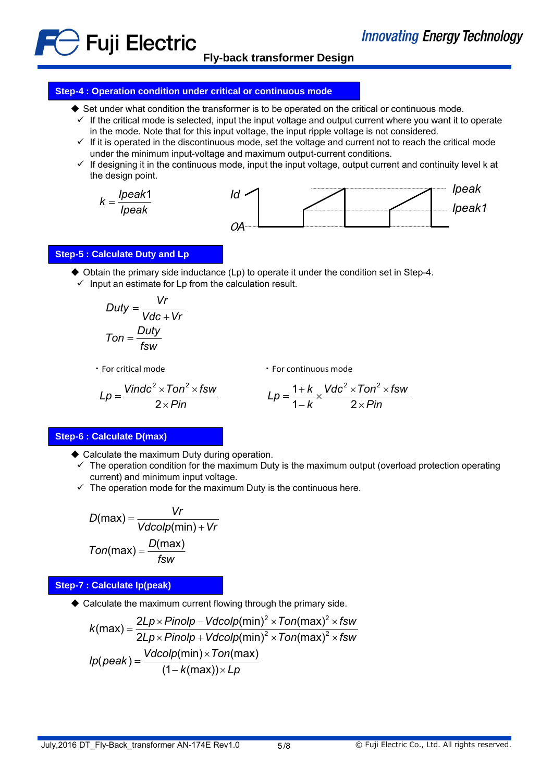**Fly-back transformer Design**

#### **Step-4 : Operation condition under critical or continuous mode**

- $\blacklozenge$  Set under what condition the transformer is to be operated on the critical or continuous mode.
- $\checkmark$  If the critical mode is selected, input the input voltage and output current where you want it to operate in the mode. Note that for this input voltage, the input ripple voltage is not considered.
- $\checkmark$  If it is operated in the discontinuous mode, set the voltage and current not to reach the critical mode under the minimum input-voltage and maximum output-current conditions.
- $\checkmark$  If designing it in the continuous mode, input the input voltage, output current and continuity level k at the design point.



#### **Step-5 : Calculate Duty and Lp**

 $\}$  Fuji Electric

- $\blacklozenge$  Obtain the primary side inductance (Lp) to operate it under the condition set in Step-4.
- $\checkmark$  Input an estimate for Lp from the calculation result.

$$
Duty = \frac{Vr}{Vdc + Vr}
$$

$$
Ton = \frac{Duty}{fsw}
$$

・For critical mode

・For continuous mode

$$
Lp = \frac{Vindex^{2} \times Ton^{2} \times fsw}{2 \times Pin} \qquad Lp = \frac{1 + k}{1 - k} \times \frac{Vdc^{2} \times Ton^{2} \times fsw}{2 \times Pin}
$$

#### **Step-6 : Calculate D(max)**

- ◆ Calculate the maximum Duty during operation.
	- $\checkmark$  The operation condition for the maximum Duty is the maximum output (overload protection operating current) and minimum input voltage.
	- $\checkmark$  The operation mode for the maximum Duty is the continuous here.

$$
D(max) = \frac{Vr}{Vdcolp(min) + Vr}
$$

$$
Ton(max) = \frac{D(max)}{fsw}
$$

#### **Step-7 : Calculate Ip(peak)**

Calculate the maximum current flowing through the primary side.

$$
k(max) = \frac{2Lp \times Pinolp - Vdcolp(min)^2 \times Ton(max)^2 \times fsw}{2Lp \times Pinolp + Vdcolp(min)^2 \times Ton(max)^2 \times fsw}
$$
  

$$
lp(peak) = \frac{Vdcolp(min) \times Ton(max)}{(1 - k(max)) \times Lp}
$$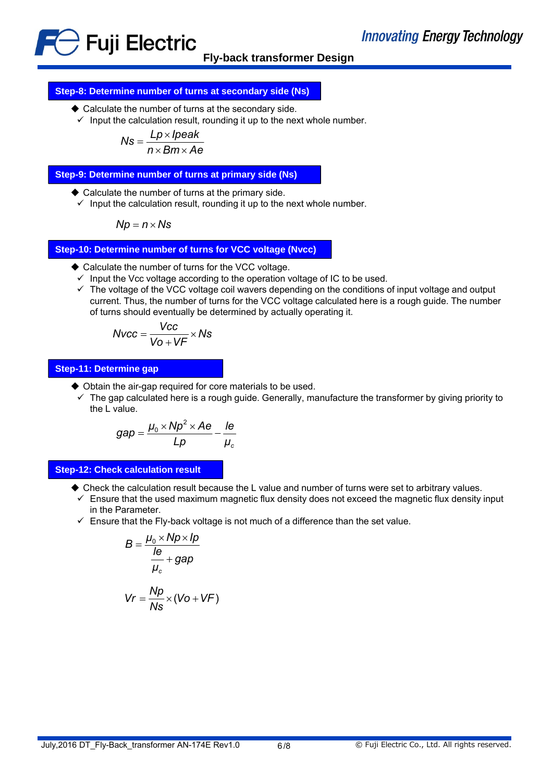

# **Step-8: Determine number of turns at secondary side (Ns)**

- ◆ Calculate the number of turns at the secondary side.
- $\checkmark$  Input the calculation result, rounding it up to the next whole number.

$$
Ns = \frac{Lp \times Ipeak}{n \times Bm \times Ae}
$$

**Step-9: Determine number of turns at primary side (Ns)**

- ◆ Calculate the number of turns at the primary side.
- $\checkmark$  Input the calculation result, rounding it up to the next whole number.

$$
Np = n \times Ns
$$

**Step-10: Determine number of turns for VCC voltage (Nvcc)**

- ◆ Calculate the number of turns for the VCC voltage.
- $\checkmark$  Input the Vcc voltage according to the operation voltage of IC to be used.
- $\checkmark$  The voltage of the VCC voltage coil wavers depending on the conditions of input voltage and output current. Thus, the number of turns for the VCC voltage calculated here is a rough guide. The number of turns should eventually be determined by actually operating it.

$$
Nvcc = \frac{Vcc}{V0 + VF} \times Ns
$$

#### **Step-11: Determine gap**

- ◆ Obtain the air-gap required for core materials to be used.
- $\checkmark$  The gap calculated here is a rough guide. Generally, manufacture the transformer by giving priority to the L value.

$$
gap = \frac{\mu_0 \times Np^2 \times Ae}{Lp} - \frac{Ie}{\mu_c}
$$

**Step-12: Check calculation result**

- Check the calculation result because the L value and number of turns were set to arbitrary values.
- $\checkmark$  Ensure that the used maximum magnetic flux density does not exceed the magnetic flux density input in the Parameter.
- $\checkmark$  Ensure that the Fly-back voltage is not much of a difference than the set value.

$$
B = \frac{\mu_0 \times Np \times lp}{\frac{le}{\mu_c} + gap}
$$

$$
Vr = \frac{Np}{Ns} \times (Vo + VF)
$$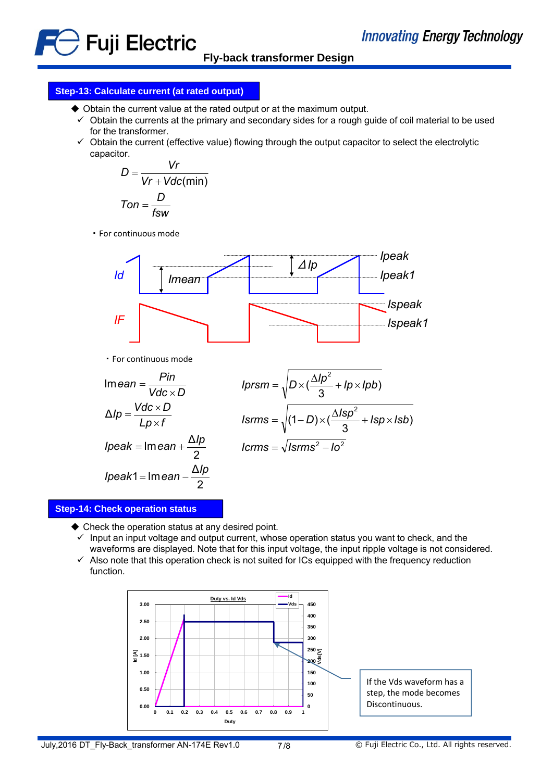

**Fly-back transformer Design**

# **Step-13: Calculate current (at rated output)**

- Obtain the current value at the rated output or at the maximum output.
- $\checkmark$  Obtain the currents at the primary and secondary sides for a rough guide of coil material to be used for the transformer.
- $\checkmark$  Obtain the current (effective value) flowing through the output capacitor to select the electrolytic capacitor.

$$
D = \frac{Vr}{Vr + Vdc(min)}
$$
  
 
$$
Ton = \frac{D}{fsw}
$$

・For continuous mode



・For continuous mode

$$
Imean = \frac{Pin}{Vdc \times D}
$$
  
\n
$$
Δlp = \frac{Vdc \times D}{Lp \times f}
$$
  
\n
$$
lp = \frac{Vdc \times D}{Lp \times f}
$$
  
\n
$$
lp = \frac{N}{Lp \times f}
$$
  
\n
$$
lgrms = \sqrt{(1-D) \times (\frac{Δlsp^{2}}{3} + lsp \times lsb)}
$$
  
\n
$$
lp = ak = Imean + \frac{Δlp}{2}
$$
  
\n
$$
lgrms = \sqrt{lsrms^{2} - lo^{2}}
$$
  
\n
$$
lp = ak1 = Imean - \frac{Δlp}{2}
$$

#### **Step-14: Check operation status**

◆ Check the operation status at any desired point.

2

- $\checkmark$  Input an input voltage and output current, whose operation status you want to check, and the waveforms are displayed. Note that for this input voltage, the input ripple voltage is not considered.
- $\checkmark$  Also note that this operation check is not suited for ICs equipped with the frequency reduction function.